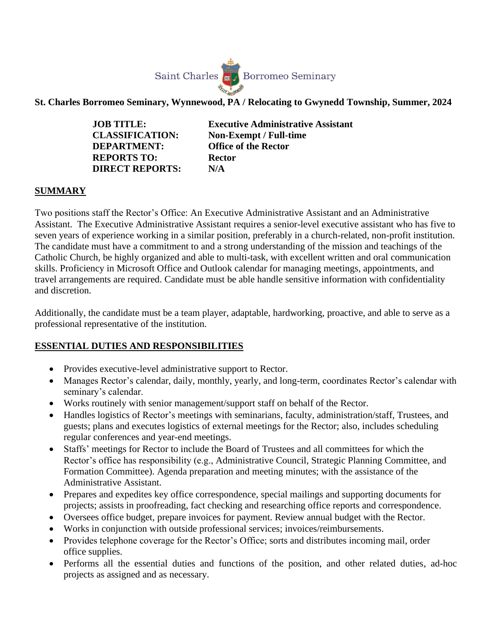

**St. Charles Borromeo Seminary, Wynnewood, PA / Relocating to Gwynedd Township, Summer, 2024**

**DEPARTMENT: Office of the Rector REPORTS TO: Rector DIRECT REPORTS: N/A**

**JOB TITLE: Executive Administrative Assistant CLASSIFICATION: Non-Exempt / Full-time** 

## **SUMMARY**

Two positions staff the Rector's Office: An Executive Administrative Assistant and an Administrative Assistant. The Executive Administrative Assistant requires a senior-level executive assistant who has five to seven years of experience working in a similar position, preferably in a church-related, non-profit institution. The candidate must have a commitment to and a strong understanding of the mission and teachings of the Catholic Church, be highly organized and able to multi-task, with excellent written and oral communication skills. Proficiency in Microsoft Office and Outlook calendar for managing meetings, appointments, and travel arrangements are required. Candidate must be able handle sensitive information with confidentiality and discretion.

Additionally, the candidate must be a team player, adaptable, hardworking, proactive, and able to serve as a professional representative of the institution.

## **ESSENTIAL DUTIES AND RESPONSIBILITIES**

- Provides executive-level administrative support to Rector.
- Manages Rector's calendar, daily, monthly, yearly, and long-term, coordinates Rector's calendar with seminary's calendar.
- Works routinely with senior management/support staff on behalf of the Rector.
- Handles logistics of Rector's meetings with seminarians, faculty, administration/staff, Trustees, and guests; plans and executes logistics of external meetings for the Rector; also, includes scheduling regular conferences and year-end meetings.
- Staffs' meetings for Rector to include the Board of Trustees and all committees for which the Rector's office has responsibility (e.g., Administrative Council, Strategic Planning Committee, and Formation Committee). Agenda preparation and meeting minutes; with the assistance of the Administrative Assistant.
- Prepares and expedites key office correspondence, special mailings and supporting documents for projects; assists in proofreading, fact checking and researching office reports and correspondence.
- Oversees office budget, prepare invoices for payment. Review annual budget with the Rector.
- Works in conjunction with outside professional services; invoices/reimbursements.
- Provides telephone coverage for the Rector's Office; sorts and distributes incoming mail, order office supplies.
- Performs all the essential duties and functions of the position, and other related duties, ad-hoc projects as assigned and as necessary.